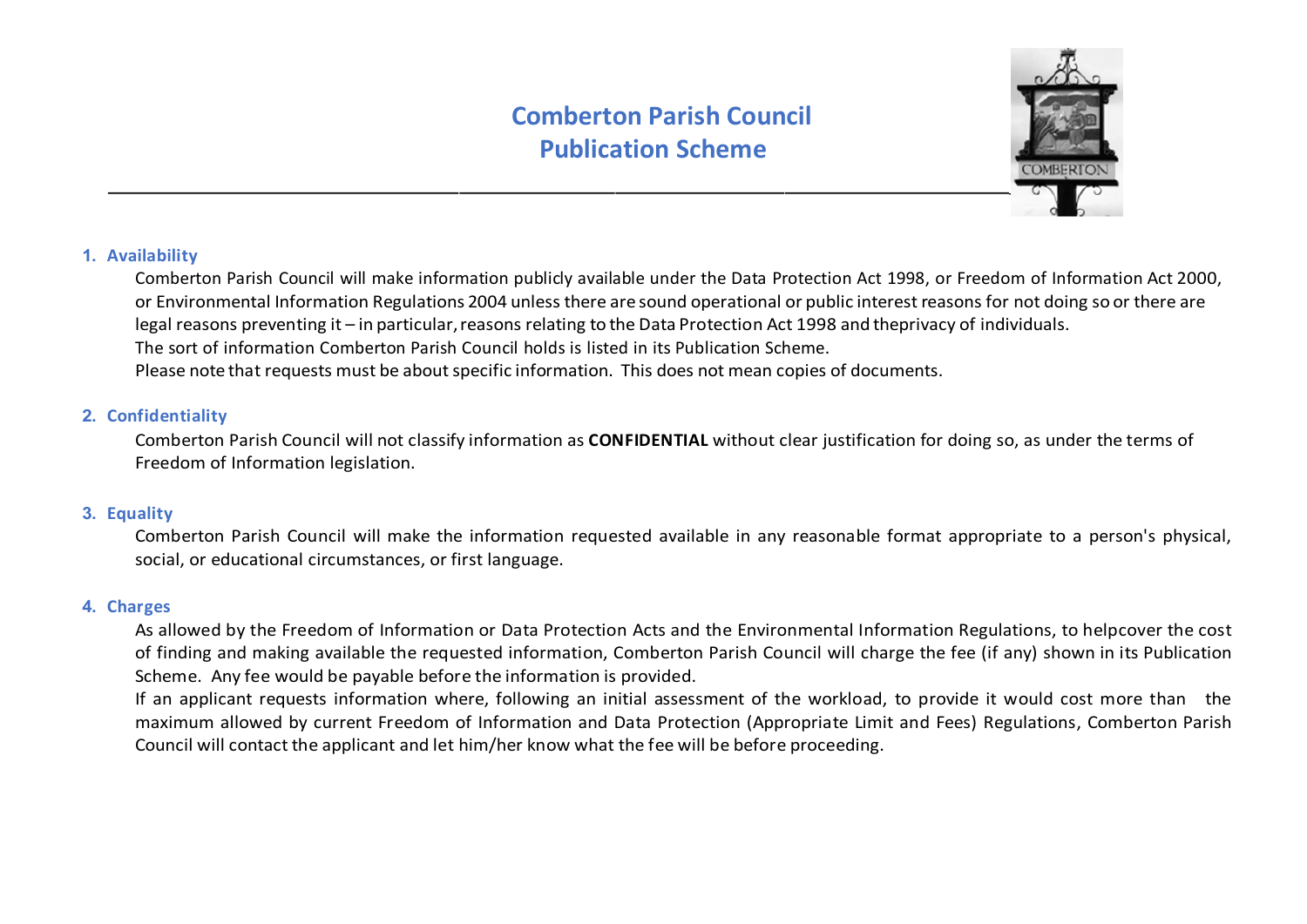

## **1. Availability**

Comberton Parish Council will make information publicly available under the Data Protection Act 1998, or Freedom of Information Act 2000, or Environmental Information Regulations 2004 unless there are sound operational or public interest reasons for not doing so or there are legal reasons preventing it – in particular, reasons relating to the Data Protection Act 1998 and the privacy of individuals. The sort of information Comberton Parish Council holds is listed in its Publication Scheme. Please note that requests must be about specific information. This does not mean copies of documents.

### **2. Confidentiality**

 Comberton Parish Council will not classify information as **CONFIDENTIAL** without clear justification for doing so, as under the terms of Freedom of Information legislation.

### **3. Equality**

 Comberton Parish Council will make the information requested available in any reasonable format appropriate to a person's physical, social, or educational circumstances, or first language.

#### **4. Charges**

As allowed by the Freedom of Information or Data Protection Acts and the Environmental Information Regulations, to helpcover the cost of finding and making available the requested information, Comberton Parish Council will charge the fee (if any) shown in its Publication Scheme. Any fee would be payable before the information is provided.

If an applicant requests information where, following an initial assessment of the workload, to provide it would cost more than the maximum allowed by current Freedom of Information and Data Protection (Appropriate Limit and Fees) Regulations, Comberton Parish Council will contact the applicant and let him/her know what the fee will be before proceeding.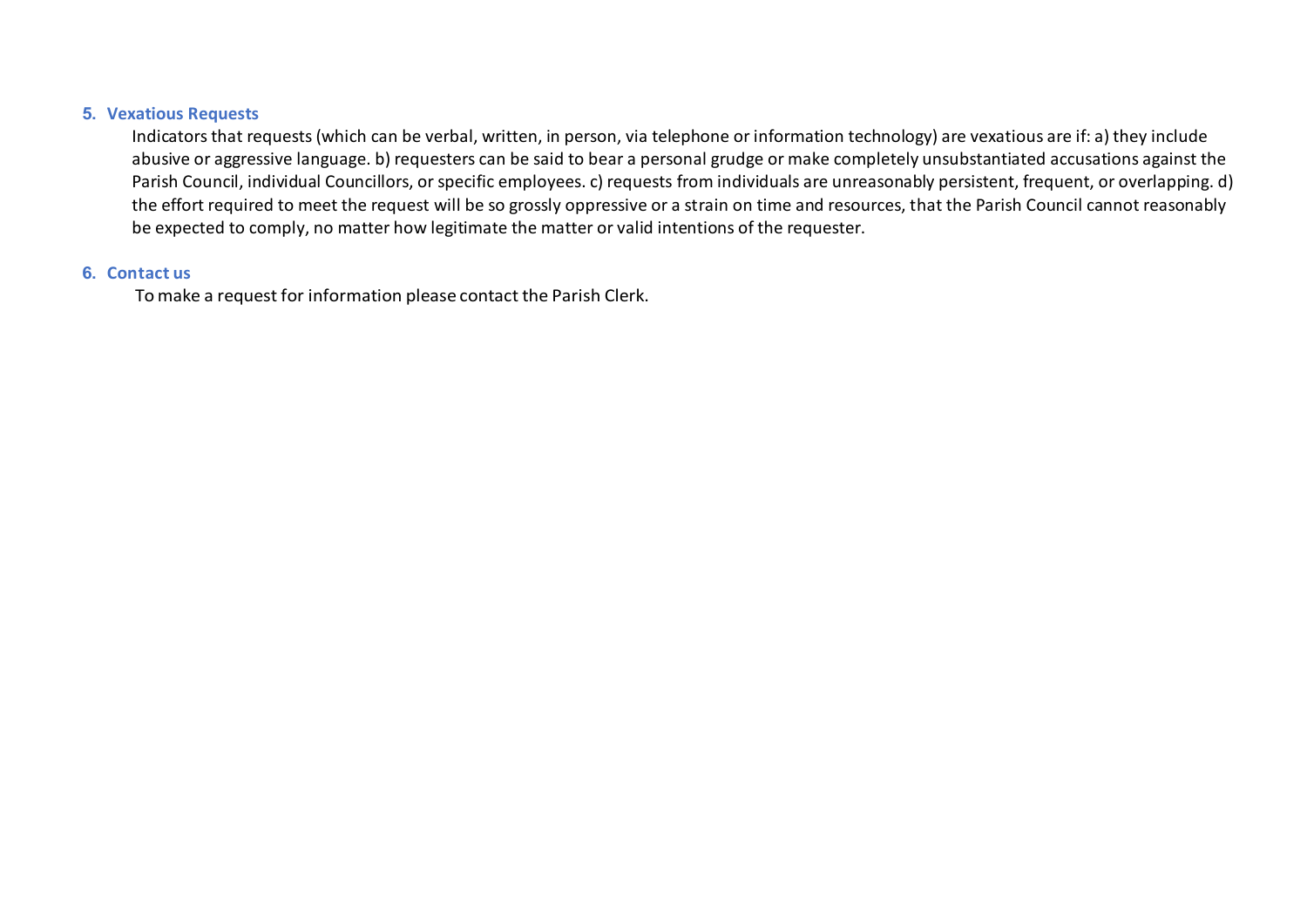#### **5. Vexatious Requests**

Indicators that requests (which can be verbal, written, in person, via telephone or information technology) are vexatious are if: a) they include abusive or aggressive language. b) requesters can be said to bear a personal grudge or make completely unsubstantiated accusations against the Parish Council, individual Councillors, or specific employees. c) requests from individuals are unreasonably persistent, frequent, or overlapping. d) the effort required to meet the request will be so grossly oppressive or a strain on time and resources, that the Parish Council cannot reasonably be expected to comply, no matter how legitimate the matter or valid intentions of the requester.

#### **6. Contact us**

To make a request for information please contact the Parish Clerk.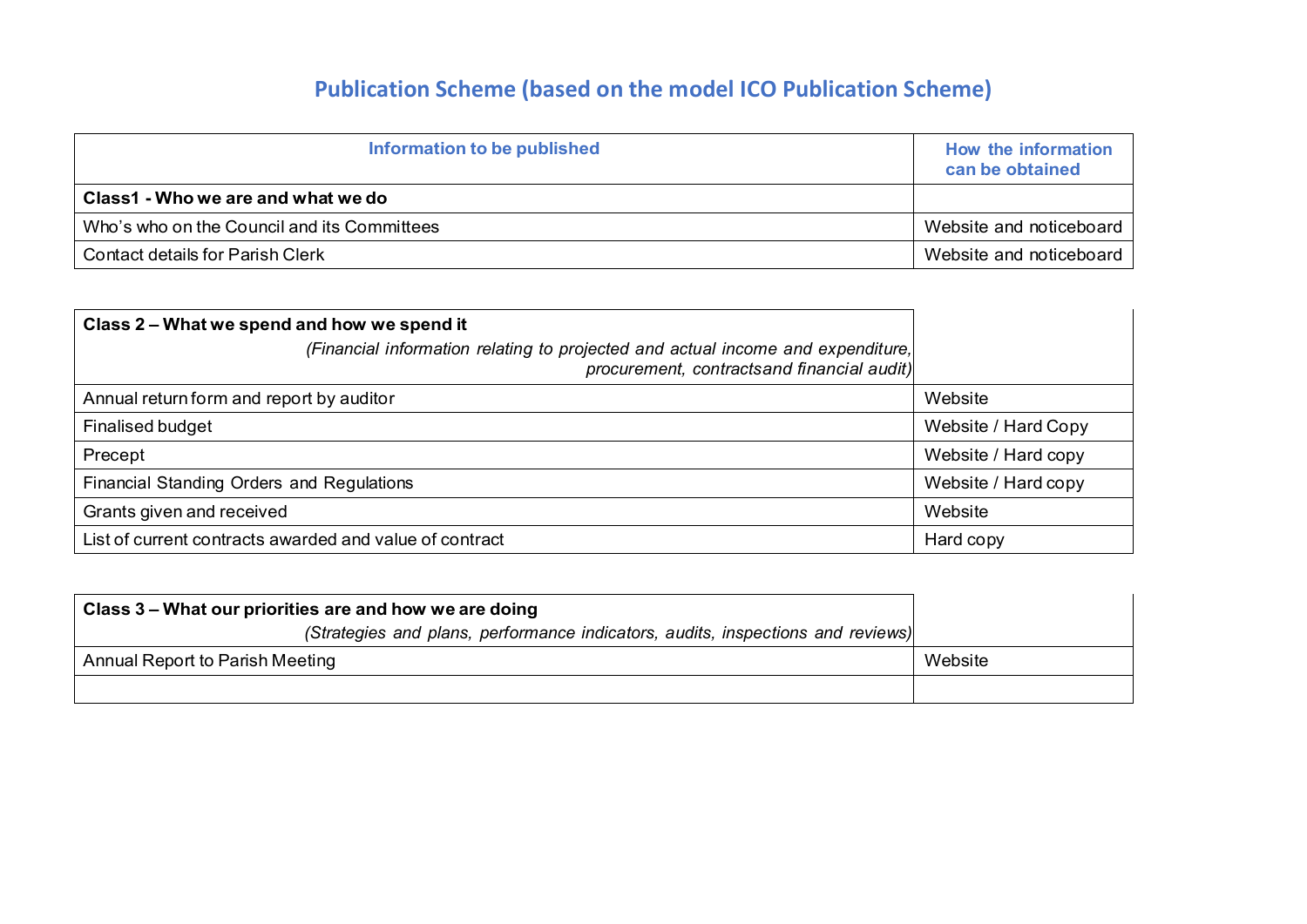# **Publication Scheme (based on the model ICO Publication Scheme)**

| Information to be published                                            | How the information<br>can be obtained |
|------------------------------------------------------------------------|----------------------------------------|
| Class1 - Who we are and what we do                                     |                                        |
| Who's who on the Council and its Committees<br>Website and noticeboard |                                        |
| <b>Contact details for Parish Clerk</b>                                | Website and noticeboard                |

| Class 2 – What we spend and how we spend it                                                                                   |                     |
|-------------------------------------------------------------------------------------------------------------------------------|---------------------|
| (Financial information relating to projected and actual income and expenditure,<br>procurement, contractsand financial audit) |                     |
| Annual return form and report by auditor                                                                                      | Website             |
| Finalised budget                                                                                                              | Website / Hard Copy |
| Precept                                                                                                                       | Website / Hard copy |
| Financial Standing Orders and Regulations                                                                                     | Website / Hard copy |
| Grants given and received                                                                                                     | Website             |
| List of current contracts awarded and value of contract                                                                       | Hard copy           |

| Class 3 – What our priorities are and how we are doing                          |         |
|---------------------------------------------------------------------------------|---------|
| (Strategies and plans, performance indicators, audits, inspections and reviews) |         |
| Annual Report to Parish Meeting                                                 | Website |
|                                                                                 |         |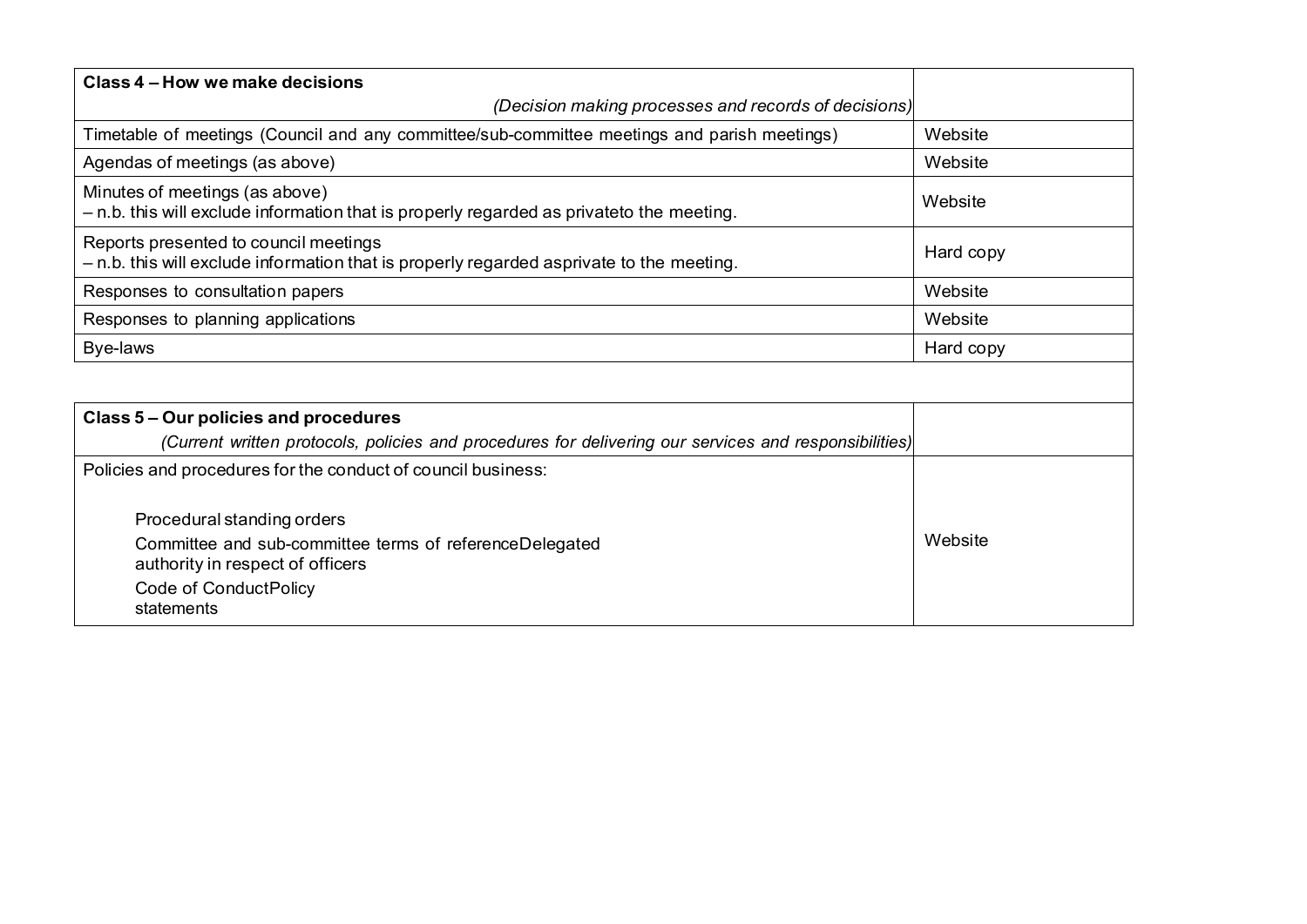| Class 4 – How we make decisions                                                                                                   |           |
|-----------------------------------------------------------------------------------------------------------------------------------|-----------|
| (Decision making processes and records of decisions)                                                                              |           |
| Timetable of meetings (Council and any committee/sub-committee meetings and parish meetings)                                      | Website   |
| Agendas of meetings (as above)                                                                                                    | Website   |
| Minutes of meetings (as above)<br>- n.b. this will exclude information that is properly regarded as privateto the meeting.        | Website   |
| Reports presented to council meetings<br>- n.b. this will exclude information that is properly regarded asprivate to the meeting. | Hard copy |
| Responses to consultation papers                                                                                                  | Website   |
| Responses to planning applications                                                                                                | Website   |
| Bye-laws                                                                                                                          | Hard copy |
|                                                                                                                                   |           |
| Class 5 – Our policies and procedures                                                                                             |           |
| (Current written protocols, policies and procedures for delivering our services and responsibilities)                             |           |
| Policies and procedures for the conduct of council business:                                                                      |           |
| Procedural standing orders                                                                                                        |           |
| Committee and sub-committee terms of referenceDelegated<br>authority in respect of officers                                       | Website   |
| Code of ConductPolicy<br>statements                                                                                               |           |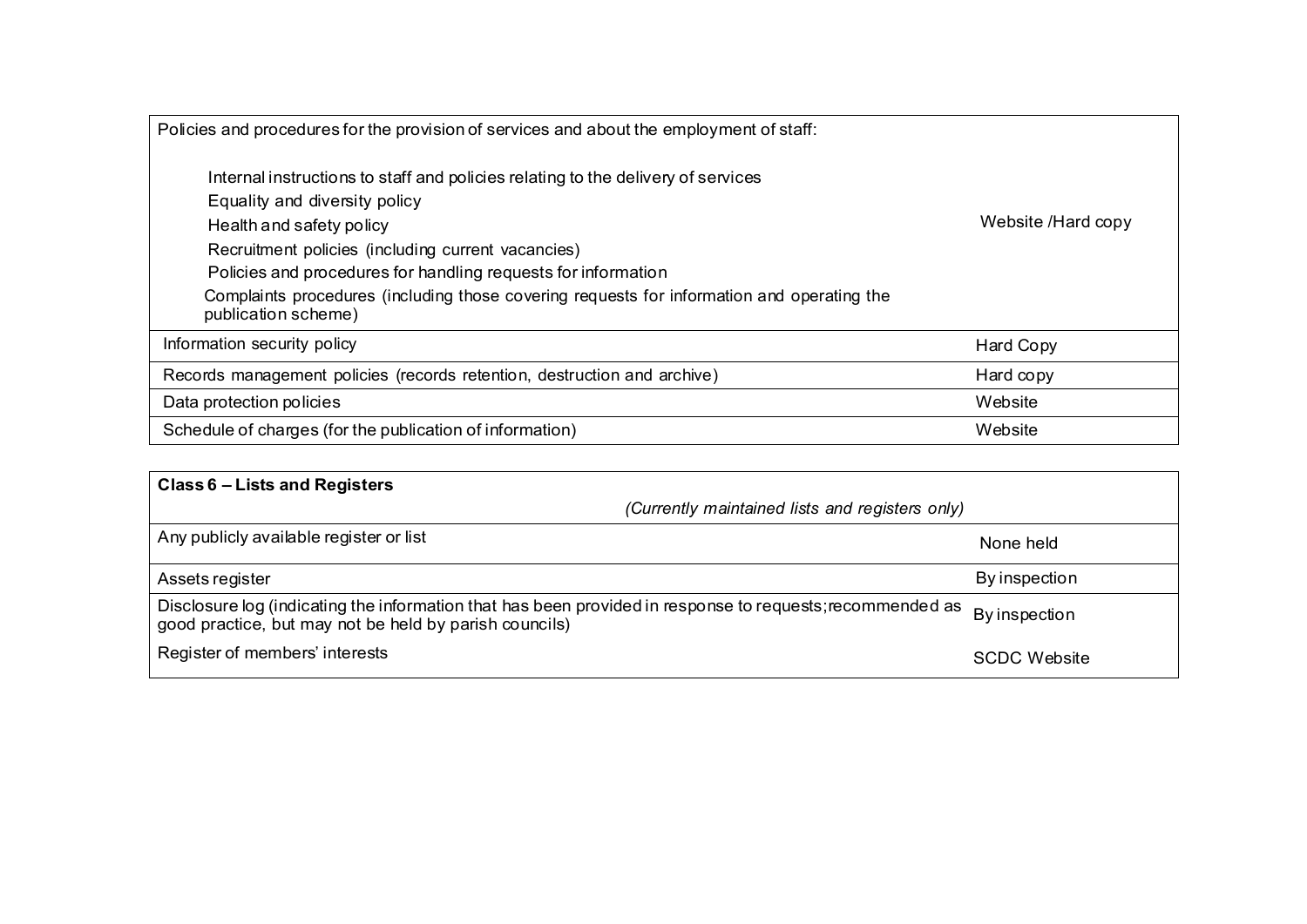| Policies and procedures for the provision of services and about the employment of staff:                                                                                                                                                                                                                                                                                                  |                    |
|-------------------------------------------------------------------------------------------------------------------------------------------------------------------------------------------------------------------------------------------------------------------------------------------------------------------------------------------------------------------------------------------|--------------------|
| Internal instructions to staff and policies relating to the delivery of services<br>Equality and diversity policy<br>Health and safety policy<br>Recruitment policies (including current vacancies)<br>Policies and procedures for handling requests for information<br>Complaints procedures (including those covering requests for information and operating the<br>publication scheme) | Website /Hard copy |
| Information security policy                                                                                                                                                                                                                                                                                                                                                               | Hard Copy          |
| Records management policies (records retention, destruction and archive)                                                                                                                                                                                                                                                                                                                  | Hard copy          |
| Data protection policies                                                                                                                                                                                                                                                                                                                                                                  | Website            |
| Schedule of charges (for the publication of information)<br>Website                                                                                                                                                                                                                                                                                                                       |                    |

| Class 6 - Lists and Registers                                                                                                                                       |                     |
|---------------------------------------------------------------------------------------------------------------------------------------------------------------------|---------------------|
| (Currently maintained lists and registers only)                                                                                                                     |                     |
| Any publicly available register or list                                                                                                                             | None held           |
| Assets register                                                                                                                                                     | By inspection       |
| Disclosure log (indicating the information that has been provided in response to requests; recommended as<br>good practice, but may not be held by parish councils) | By inspection       |
| Register of members' interests                                                                                                                                      | <b>SCDC Website</b> |